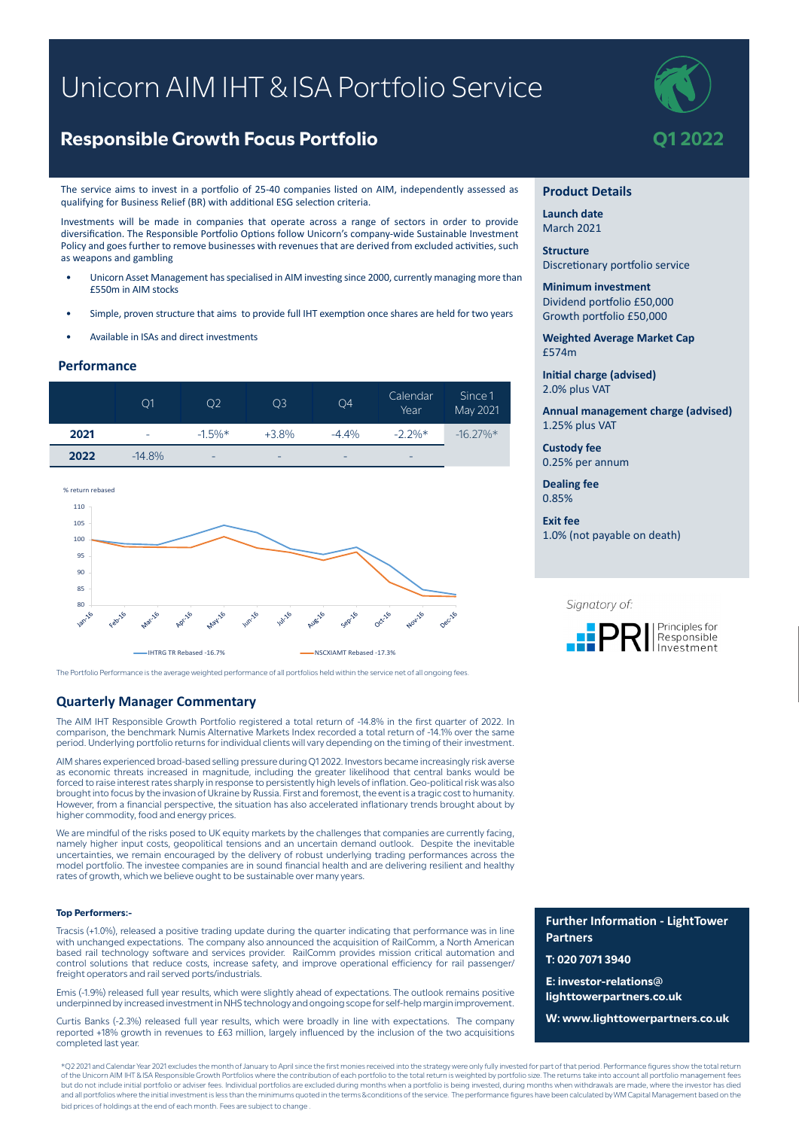# Unicorn AIM IHT & ISA Portfolio Service

# **Responsible Growth Focus Portfolio And Algebra 2022**

The service aims to invest in a portfolio of 25-40 companies listed on AIM, independently assessed as qualifying for Business Relief (BR) with additional ESG selection criteria.

Investments will be made in companies that operate across a range of sectors in order to provide diversification. The Responsible Portfolio Options follow Unicorn's company-wide Sustainable Investment Policy and goes further to remove businesses with revenues that are derived from excluded activities, such as weapons and gambling

- Unicorn Asset Management has specialised in AIM investing since 2000, currently managing more than £550m in AIM stocks
- Simple, proven structure that aims to provide full IHT exemption once shares are held for two years
- Available in ISAs and direct investments

### **Performance**





The Portfolio Performance is the average weighted performance of all portfolios held within the service net of all ongoing fees.

## **Quarterly Manager Commentary**

The AIM IHT Responsible Growth Portfolio registered a total return of -14.8% in the first quarter of 2022. In comparison, the benchmark Numis Alternative Markets Index recorded a total return of -14.1% over the same period. Underlying portfolio returns for individual clients will vary depending on the timing of their investment.

AIM shares experienced broad-based selling pressure during Q1 2022. Investors became increasingly risk averse as economic threats increased in magnitude, including the greater likelihood that central banks would be forced to raise interest rates sharply in response to persistently high levels of inflation. Geo-political risk was also brought into focus by the invasion of Ukraine by Russia. First and foremost, the event is a tragic cost to humanity. However, from a financial perspective, the situation has also accelerated inflationary trends brought about by higher commodity, food and energy prices.

We are mindful of the risks posed to UK equity markets by the challenges that companies are currently facing, namely higher input costs, geopolitical tensions and an uncertain demand outlook. Despite the inevitable uncertainties, we remain encouraged by the delivery of robust underlying trading performances across the model portfolio. The investee companies are in sound financial health and are delivering resilient and healthy rates of growth, which we believe ought to be sustainable over many years.

#### **Top Performers:-**

Tracsis (+1.0%), released a positive trading update during the quarter indicating that performance was in line with unchanged expectations. The company also announced the acquisition of RailComm, a North American based rail technology software and services provider. RailComm provides mission critical automation and control solutions that reduce costs, increase safety, and improve operational efficiency for rail passenger/ freight operators and rail served ports/industrials.

Emis (-1.9%) released full year results, which were slightly ahead of expectations. The outlook remains positive underpinned by increased investment in NHS technology and ongoing scope for self-help margin improvement.

Curtis Banks (-2.3%) released full year results, which were broadly in line with expectations. The company reported +18% growth in revenues to £63 million, largely influenced by the inclusion of the two acquisitions completed last year.

\*Q2 2021 and Calendar Year 2021 excludes the month of January to April since the first monies received into the strategy were only fully invested for part of that period. Performance figures show the total return of the Unicorn AIM IHT & ISA Responsible Growth Portfolios where the contribution of each portfolio to the total return is weighted by portfolio size. The returns take into account all portfolio management fees but do not include initial portfolio or adviser fees. Individual portfolios are excluded during months when a portfolio is being invested, during months when withdrawals are made, where the investor has died and all portfolios where the initial investment is less than the minimums quoted in the terms & conditions of the service. The performance figures have been calculated by WM Capital Management based on the bid prices of holdings at the end of each month. Fees are subject to change



#### **Product Details**

**Launch date** March 2021

**Structure** Discretionary portfolio service

**Minimum investment** Dividend portfolio £50,000 Growth portfolio £50,000

**Weighted Average Market Cap** £574m

**Initial charge (advised)** 2.0% plus VAT

**Annual management charge (advised)** 1.25% plus VAT

**Custody fee** 0.25% per annum

**Dealing fee** 0.85%

**Exit fee** 1.0% (not payable on death)

#### Signatory of:



**Further Information - LightTower Partners**

**T: 020 7071 3940**

**E: investor-relations@ lighttowerpartners.co.uk**

**W: www.lighttowerpartners.co.uk**